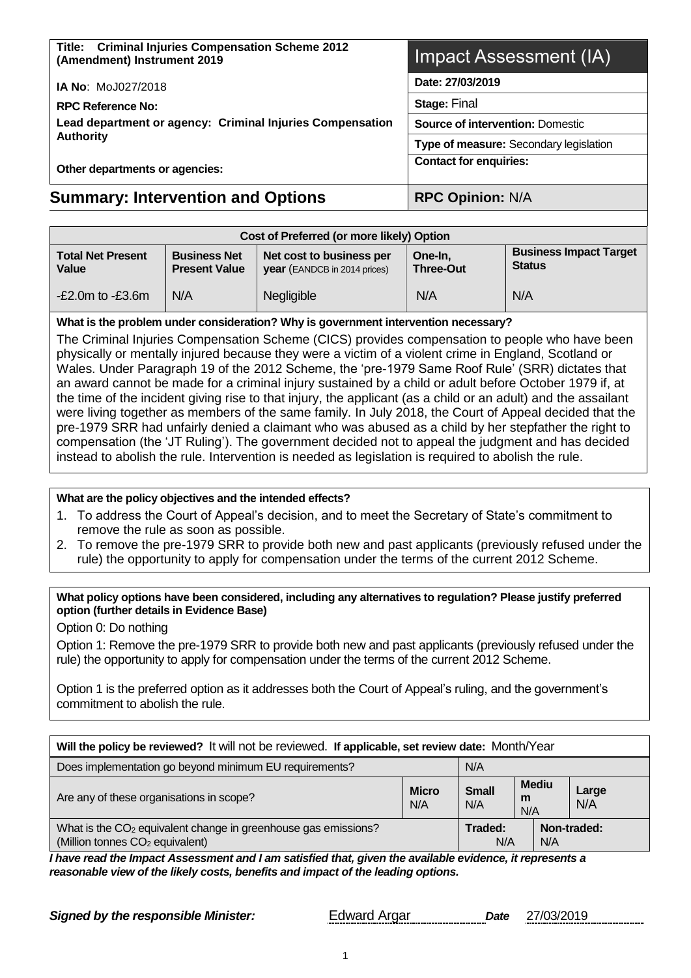| Title: Criminal Injuries Compensation Scheme 2012<br>(Amendment) Instrument 2019 | Impact Assessment (IA)                  |  |  |
|----------------------------------------------------------------------------------|-----------------------------------------|--|--|
| <b>IA No: MoJ027/2018</b>                                                        | Date: 27/03/2019                        |  |  |
| <b>RPC Reference No:</b>                                                         | <b>Stage: Final</b>                     |  |  |
| Lead department or agency: Criminal Injuries Compensation                        | <b>Source of intervention: Domestic</b> |  |  |
| <b>Authority</b>                                                                 | Type of measure: Secondary legislation  |  |  |
| Other departments or agencies:                                                   | <b>Contact for enquiries:</b>           |  |  |
| <b>Summary: Intervention and Options</b>                                         | <b>RPC Opinion: N/A</b>                 |  |  |

| Cost of Preferred (or more likely) Option |                                             |                                                                 |                             |                                                |  |
|-------------------------------------------|---------------------------------------------|-----------------------------------------------------------------|-----------------------------|------------------------------------------------|--|
| <b>Total Net Present</b><br>Value         | <b>Business Net</b><br><b>Present Value</b> | Net cost to business per<br><b>year</b> (EANDCB in 2014 prices) | One-In.<br><b>Three-Out</b> | <b>Business Impact Target</b><br><b>Status</b> |  |
| $-E2.0m$ to $-E3.6m$                      | N/A                                         | Negligible                                                      | N/A                         | N/A                                            |  |

#### **What is the problem under consideration? Why is government intervention necessary?**

The Criminal Injuries Compensation Scheme (CICS) provides compensation to people who have been physically or mentally injured because they were a victim of a violent crime in England, Scotland or Wales. Under Paragraph 19 of the 2012 Scheme, the 'pre-1979 Same Roof Rule' (SRR) dictates that an award cannot be made for a criminal injury sustained by a child or adult before October 1979 if, at the time of the incident giving rise to that injury, the applicant (as a child or an adult) and the assailant were living together as members of the same family. In July 2018, the Court of Appeal decided that the pre-1979 SRR had unfairly denied a claimant who was abused as a child by her stepfather the right to compensation (the 'JT Ruling'). The government decided not to appeal the judgment and has decided instead to abolish the rule. Intervention is needed as legislation is required to abolish the rule.

#### **What are the policy objectives and the intended effects?**

- 1. To address the Court of Appeal's decision, and to meet the Secretary of State's commitment to remove the rule as soon as possible.
- 2. To remove the pre-1979 SRR to provide both new and past applicants (previously refused under the rule) the opportunity to apply for compensation under the terms of the current 2012 Scheme.

#### **What policy options have been considered, including any alternatives to regulation? Please justify preferred option (further details in Evidence Base)**

Option 0: Do nothing

Option 1: Remove the pre-1979 SRR to provide both new and past applicants (previously refused under the rule) the opportunity to apply for compensation under the terms of the current 2012 Scheme.

Option 1 is the preferred option as it addresses both the Court of Appeal's ruling, and the government's commitment to abolish the rule.

| Will the policy be reviewed? It will not be reviewed. If applicable, set review date: Month/Year                          |  |                |              |     |             |
|---------------------------------------------------------------------------------------------------------------------------|--|----------------|--------------|-----|-------------|
| Does implementation go beyond minimum EU requirements?<br>N/A                                                             |  |                |              |     |             |
| <b>Mediu</b><br><b>Small</b><br><b>Micro</b><br>Are any of these organisations in scope?<br>m<br>N/A<br>N/A<br>N/A        |  |                | Large<br>N/A |     |             |
| What is the CO <sub>2</sub> equivalent change in greenhouse gas emissions?<br>(Million tonnes CO <sub>2</sub> equivalent) |  | Traded:<br>N/A |              | N/A | Non-traded: |

*I have read the Impact Assessment and I am satisfied that, given the available evidence, it represents a reasonable view of the likely costs, benefits and impact of the leading options.*

**Signed by the responsible Minister:** Edward Argar *Date* 27/03/2019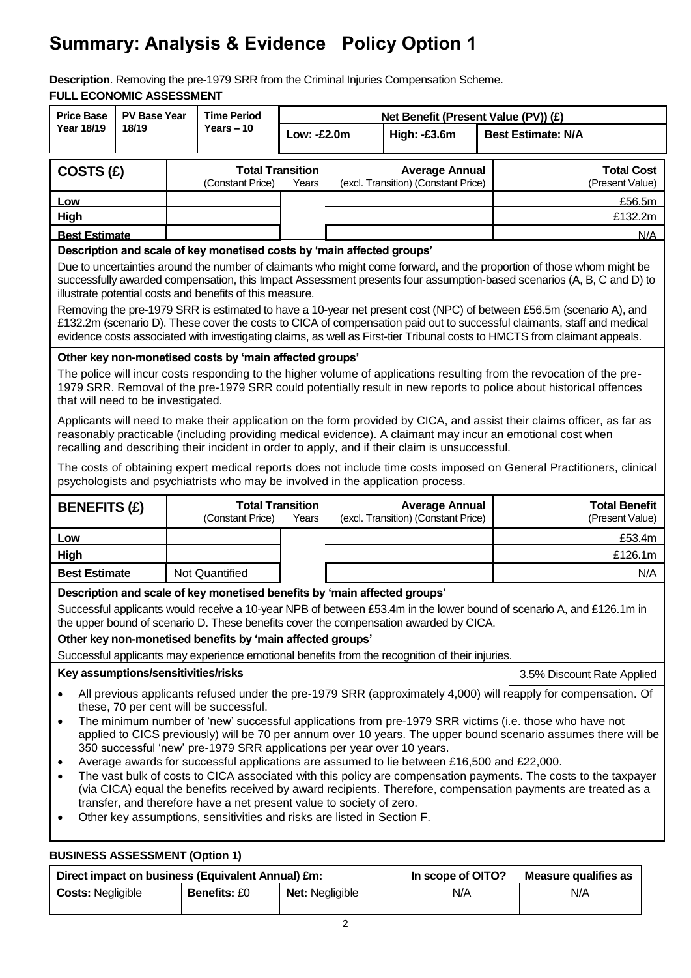# **Summary: Analysis & Evidence Policy Option 1**

**Description**. Removing the pre-1979 SRR from the Criminal Injuries Compensation Scheme. **FULL ECONOMIC ASSESSMENT**

| <b>Price Base</b>                                                                                                                                                                                                                                                                                                                                         |                                                                                                                                                                                                               | <b>PV Base Year</b><br><b>Time Period</b>                                 |                                                                         |             |  | Net Benefit (Present Value (PV)) (£)                                                            |                                                                                                                                                                                                                                                                                                                                                                             |
|-----------------------------------------------------------------------------------------------------------------------------------------------------------------------------------------------------------------------------------------------------------------------------------------------------------------------------------------------------------|---------------------------------------------------------------------------------------------------------------------------------------------------------------------------------------------------------------|---------------------------------------------------------------------------|-------------------------------------------------------------------------|-------------|--|-------------------------------------------------------------------------------------------------|-----------------------------------------------------------------------------------------------------------------------------------------------------------------------------------------------------------------------------------------------------------------------------------------------------------------------------------------------------------------------------|
| Year 18/19                                                                                                                                                                                                                                                                                                                                                | 18/19                                                                                                                                                                                                         |                                                                           | Years $-10$                                                             | Low: -£2.0m |  | High: -£3.6m                                                                                    | <b>Best Estimate: N/A</b>                                                                                                                                                                                                                                                                                                                                                   |
|                                                                                                                                                                                                                                                                                                                                                           |                                                                                                                                                                                                               |                                                                           |                                                                         |             |  |                                                                                                 |                                                                                                                                                                                                                                                                                                                                                                             |
| COSTS (£)                                                                                                                                                                                                                                                                                                                                                 |                                                                                                                                                                                                               |                                                                           | <b>Total Transition</b><br>(Constant Price)                             | Years       |  | <b>Average Annual</b><br>(excl. Transition) (Constant Price)                                    | <b>Total Cost</b><br>(Present Value)                                                                                                                                                                                                                                                                                                                                        |
| Low                                                                                                                                                                                                                                                                                                                                                       |                                                                                                                                                                                                               |                                                                           |                                                                         |             |  |                                                                                                 | £56.5m                                                                                                                                                                                                                                                                                                                                                                      |
| High                                                                                                                                                                                                                                                                                                                                                      |                                                                                                                                                                                                               |                                                                           |                                                                         |             |  |                                                                                                 | £132.2m                                                                                                                                                                                                                                                                                                                                                                     |
| <b>Best Estimate</b>                                                                                                                                                                                                                                                                                                                                      |                                                                                                                                                                                                               |                                                                           |                                                                         |             |  |                                                                                                 | N/A                                                                                                                                                                                                                                                                                                                                                                         |
|                                                                                                                                                                                                                                                                                                                                                           |                                                                                                                                                                                                               |                                                                           | Description and scale of key monetised costs by 'main affected groups'  |             |  |                                                                                                 |                                                                                                                                                                                                                                                                                                                                                                             |
|                                                                                                                                                                                                                                                                                                                                                           |                                                                                                                                                                                                               |                                                                           | illustrate potential costs and benefits of this measure.                |             |  |                                                                                                 | Due to uncertainties around the number of claimants who might come forward, and the proportion of those whom might be<br>successfully awarded compensation, this Impact Assessment presents four assumption-based scenarios (A, B, C and D) to                                                                                                                              |
|                                                                                                                                                                                                                                                                                                                                                           |                                                                                                                                                                                                               |                                                                           |                                                                         |             |  |                                                                                                 | Removing the pre-1979 SRR is estimated to have a 10-year net present cost (NPC) of between £56.5m (scenario A), and<br>£132.2m (scenario D). These cover the costs to CICA of compensation paid out to successful claimants, staff and medical<br>evidence costs associated with investigating claims, as well as First-tier Tribunal costs to HMCTS from claimant appeals. |
|                                                                                                                                                                                                                                                                                                                                                           |                                                                                                                                                                                                               |                                                                           | Other key non-monetised costs by 'main affected groups'                 |             |  |                                                                                                 |                                                                                                                                                                                                                                                                                                                                                                             |
| that will need to be investigated.                                                                                                                                                                                                                                                                                                                        |                                                                                                                                                                                                               |                                                                           |                                                                         |             |  |                                                                                                 | The police will incur costs responding to the higher volume of applications resulting from the revocation of the pre-<br>1979 SRR. Removal of the pre-1979 SRR could potentially result in new reports to police about historical offences                                                                                                                                  |
|                                                                                                                                                                                                                                                                                                                                                           |                                                                                                                                                                                                               |                                                                           |                                                                         |             |  | recalling and describing their incident in order to apply, and if their claim is unsuccessful.  | Applicants will need to make their application on the form provided by CICA, and assist their claims officer, as far as<br>reasonably practicable (including providing medical evidence). A claimant may incur an emotional cost when                                                                                                                                       |
|                                                                                                                                                                                                                                                                                                                                                           |                                                                                                                                                                                                               |                                                                           |                                                                         |             |  | psychologists and psychiatrists who may be involved in the application process.                 | The costs of obtaining expert medical reports does not include time costs imposed on General Practitioners, clinical                                                                                                                                                                                                                                                        |
| <b>BENEFITS (£)</b>                                                                                                                                                                                                                                                                                                                                       |                                                                                                                                                                                                               |                                                                           | <b>Total Transition</b><br>(Constant Price)                             | Years       |  | <b>Average Annual</b><br>(excl. Transition) (Constant Price)                                    | <b>Total Benefit</b><br>(Present Value)                                                                                                                                                                                                                                                                                                                                     |
| Low                                                                                                                                                                                                                                                                                                                                                       |                                                                                                                                                                                                               |                                                                           |                                                                         |             |  |                                                                                                 | £53.4m                                                                                                                                                                                                                                                                                                                                                                      |
| High                                                                                                                                                                                                                                                                                                                                                      |                                                                                                                                                                                                               |                                                                           |                                                                         |             |  |                                                                                                 | £126.1m                                                                                                                                                                                                                                                                                                                                                                     |
| <b>Best Estimate</b>                                                                                                                                                                                                                                                                                                                                      |                                                                                                                                                                                                               |                                                                           | Not Quantified                                                          |             |  |                                                                                                 | N/A                                                                                                                                                                                                                                                                                                                                                                         |
|                                                                                                                                                                                                                                                                                                                                                           |                                                                                                                                                                                                               | Description and scale of key monetised benefits by 'main affected groups' |                                                                         |             |  |                                                                                                 |                                                                                                                                                                                                                                                                                                                                                                             |
|                                                                                                                                                                                                                                                                                                                                                           |                                                                                                                                                                                                               |                                                                           |                                                                         |             |  | the upper bound of scenario D. These benefits cover the compensation awarded by CICA.           | Successful applicants would receive a 10-year NPB of between £53.4m in the lower bound of scenario A, and £126.1m in                                                                                                                                                                                                                                                        |
|                                                                                                                                                                                                                                                                                                                                                           |                                                                                                                                                                                                               |                                                                           | Other key non-monetised benefits by 'main affected groups'              |             |  |                                                                                                 |                                                                                                                                                                                                                                                                                                                                                                             |
|                                                                                                                                                                                                                                                                                                                                                           |                                                                                                                                                                                                               |                                                                           |                                                                         |             |  | Successful applicants may experience emotional benefits from the recognition of their injuries. |                                                                                                                                                                                                                                                                                                                                                                             |
| Key assumptions/sensitivities/risks                                                                                                                                                                                                                                                                                                                       |                                                                                                                                                                                                               |                                                                           |                                                                         |             |  |                                                                                                 | 3.5% Discount Rate Applied                                                                                                                                                                                                                                                                                                                                                  |
|                                                                                                                                                                                                                                                                                                                                                           |                                                                                                                                                                                                               |                                                                           |                                                                         |             |  |                                                                                                 | All previous applicants refused under the pre-1979 SRR (approximately 4,000) will reapply for compensation. Of                                                                                                                                                                                                                                                              |
| these, 70 per cent will be successful.<br>The minimum number of 'new' successful applications from pre-1979 SRR victims (i.e. those who have not<br>$\bullet$<br>applied to CICS previously) will be 70 per annum over 10 years. The upper bound scenario assumes there will be<br>350 successful 'new' pre-1979 SRR applications per year over 10 years. |                                                                                                                                                                                                               |                                                                           |                                                                         |             |  |                                                                                                 |                                                                                                                                                                                                                                                                                                                                                                             |
| $\bullet$<br>$\bullet$                                                                                                                                                                                                                                                                                                                                    | Average awards for successful applications are assumed to lie between £16,500 and £22,000.<br>The vast bulk of costs to CICA associated with this policy are compensation payments. The costs to the taxpayer |                                                                           |                                                                         |             |  |                                                                                                 |                                                                                                                                                                                                                                                                                                                                                                             |
|                                                                                                                                                                                                                                                                                                                                                           | (via CICA) equal the benefits received by award recipients. Therefore, compensation payments are treated as a<br>transfer, and therefore have a net present value to society of zero.                         |                                                                           |                                                                         |             |  |                                                                                                 |                                                                                                                                                                                                                                                                                                                                                                             |
| ٠                                                                                                                                                                                                                                                                                                                                                         |                                                                                                                                                                                                               |                                                                           | Other key assumptions, sensitivities and risks are listed in Section F. |             |  |                                                                                                 |                                                                                                                                                                                                                                                                                                                                                                             |
|                                                                                                                                                                                                                                                                                                                                                           | <b>BUSINESS ASSESSMENT (Option 1)</b>                                                                                                                                                                         |                                                                           |                                                                         |             |  |                                                                                                 |                                                                                                                                                                                                                                                                                                                                                                             |

Direct impact on business (Equivalent Annual) £m: **In scope of OITO?** Measure qualifies as **Costs:** Negligible **Benefits:** £0 **Net:** Negligible **N/A** N/A N/A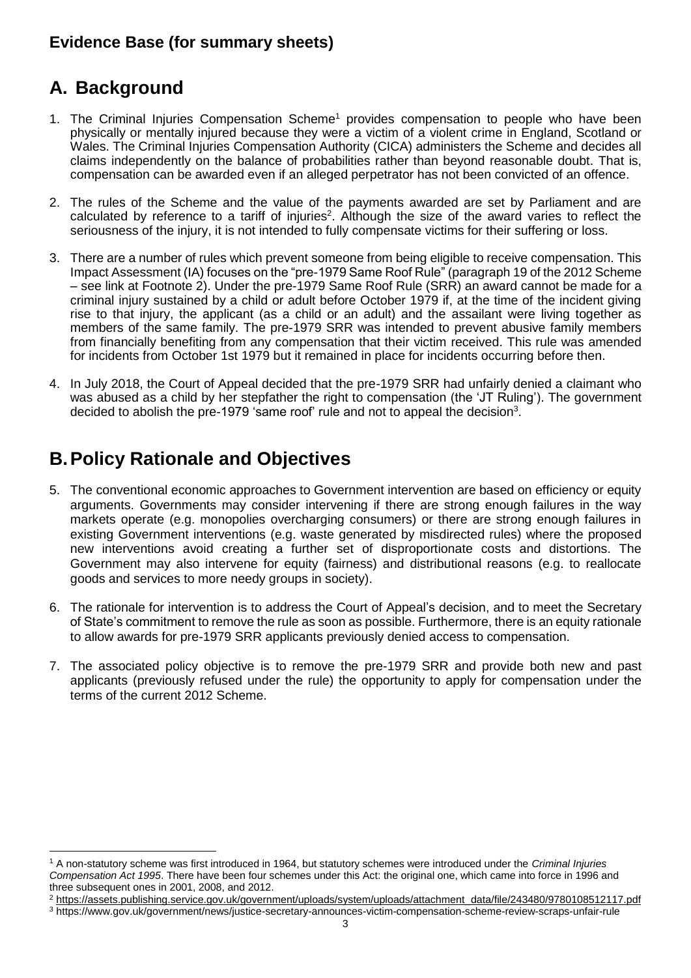## **Evidence Base (for summary sheets)**

# **A. Background**

l

- 1. The Criminal Injuries Compensation Scheme<sup>1</sup> provides compensation to people who have been physically or mentally injured because they were a victim of a violent crime in England, Scotland or Wales. The Criminal Injuries Compensation Authority (CICA) administers the Scheme and decides all claims independently on the balance of probabilities rather than beyond reasonable doubt. That is, compensation can be awarded even if an alleged perpetrator has not been convicted of an offence.
- 2. The rules of the Scheme and the value of the payments awarded are set by Parliament and are calculated by reference to a [tariff of injuries](https://www.gov.uk/government/uploads/system/uploads/attachment_data/file/243480/9780108512117.pdf)<sup>2</sup>. Although the size of the award varies to reflect the seriousness of the injury, it is not intended to fully compensate victims for their suffering or loss.
- 3. There are a number of rules which prevent someone from being eligible to receive compensation. This Impact Assessment (IA) focuses on the "pre-1979 Same Roof Rule" (paragraph 19 of the 2012 Scheme – see link at Footnote 2). Under the pre-1979 Same Roof Rule (SRR) an award cannot be made for a criminal injury sustained by a child or adult before October 1979 if, at the time of the incident giving rise to that injury, the applicant (as a child or an adult) and the assailant were living together as members of the same family. The pre-1979 SRR was intended to prevent abusive family members from financially benefiting from any compensation that their victim received. This rule was amended for incidents from October 1st 1979 but it remained in place for incidents occurring before then.
- 4. In July 2018, the Court of Appeal decided that the pre-1979 SRR had unfairly denied a claimant who was abused as a child by her stepfather the right to compensation (the 'JT Ruling'). The government decided to abolish the pre-1979 'same roof' rule and not to appeal the decision<sup>3</sup>.

## **B.Policy Rationale and Objectives**

- 5. The conventional economic approaches to Government intervention are based on efficiency or equity arguments. Governments may consider intervening if there are strong enough failures in the way markets operate (e.g. monopolies overcharging consumers) or there are strong enough failures in existing Government interventions (e.g. waste generated by misdirected rules) where the proposed new interventions avoid creating a further set of disproportionate costs and distortions. The Government may also intervene for equity (fairness) and distributional reasons (e.g. to reallocate goods and services to more needy groups in society).
- 6. The rationale for intervention is to address the Court of Appeal's decision, and to meet the Secretary of State's commitment to remove the rule as soon as possible. Furthermore, there is an equity rationale to allow awards for pre-1979 SRR applicants previously denied access to compensation.
- 7. The associated policy objective is to remove the pre-1979 SRR and provide both new and past applicants (previously refused under the rule) the opportunity to apply for compensation under the terms of the current 2012 Scheme.

<sup>2</sup> [https://assets.publishing.service.gov.uk/government/uploads/system/uploads/attachment\\_data/file/243480/9780108512117.pdf](https://assets.publishing.service.gov.uk/government/uploads/system/uploads/attachment_data/file/243480/9780108512117.pdf)

<sup>1</sup> A non-statutory scheme was first introduced in 1964, but statutory schemes were introduced under the *Criminal Injuries Compensation Act 1995*. There have been four schemes under this Act: the original one, which came into force in 1996 and three subsequent ones in 2001, 2008, and 2012.

<sup>3</sup> https://www.gov.uk/government/news/justice-secretary-announces-victim-compensation-scheme-review-scraps-unfair-rule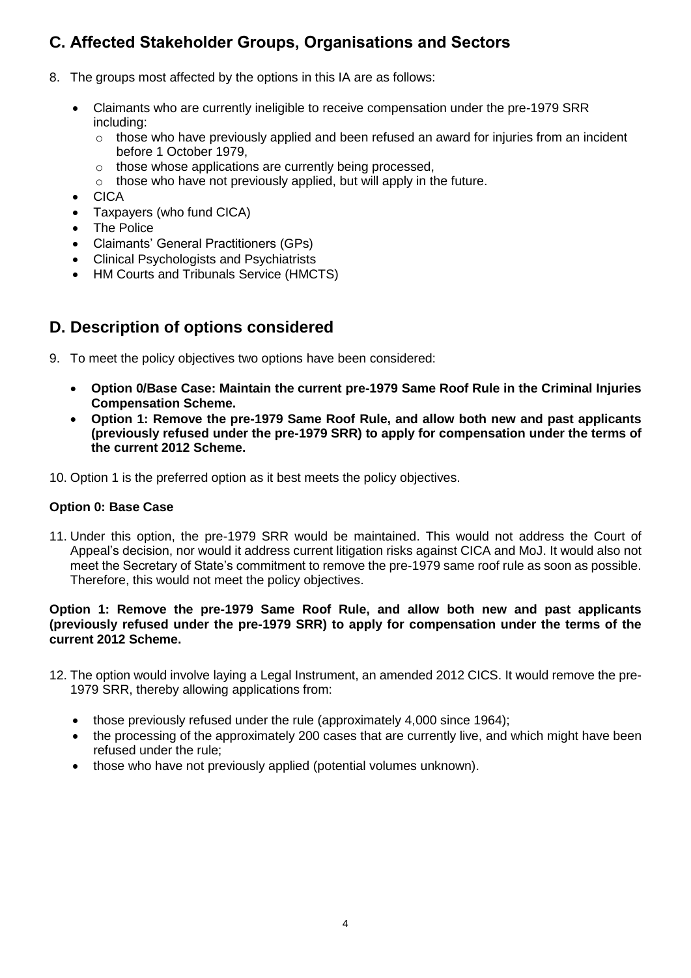## **C. Affected Stakeholder Groups, Organisations and Sectors**

- 8. The groups most affected by the options in this IA are as follows:
	- Claimants who are currently ineligible to receive compensation under the pre-1979 SRR including:
		- $\circ$  those who have previously applied and been refused an award for injuries from an incident before 1 October 1979,
		- o those whose applications are currently being processed,
		- o those who have not previously applied, but will apply in the future.
	- CICA
	- Taxpayers (who fund CICA)
	- **The Police**
	- Claimants' General Practitioners (GPs)
	- Clinical Psychologists and Psychiatrists
	- HM Courts and Tribunals Service (HMCTS)

### **D. Description of options considered**

- 9. To meet the policy objectives two options have been considered:
	- **Option 0/Base Case: Maintain the current pre-1979 Same Roof Rule in the Criminal Injuries Compensation Scheme.**
	- **Option 1: Remove the pre-1979 Same Roof Rule, and allow both new and past applicants (previously refused under the pre-1979 SRR) to apply for compensation under the terms of the current 2012 Scheme.**
- 10. Option 1 is the preferred option as it best meets the policy objectives.

#### **Option 0: Base Case**

11. Under this option, the pre-1979 SRR would be maintained. This would not address the Court of Appeal's decision, nor would it address current litigation risks against CICA and MoJ. It would also not meet the Secretary of State's commitment to remove the pre-1979 same roof rule as soon as possible. Therefore, this would not meet the policy objectives.

#### **Option 1: Remove the pre-1979 Same Roof Rule, and allow both new and past applicants (previously refused under the pre-1979 SRR) to apply for compensation under the terms of the current 2012 Scheme.**

- 12. The option would involve laying a Legal Instrument, an amended 2012 CICS. It would remove the pre-1979 SRR, thereby allowing applications from:
	- those previously refused under the rule (approximately 4,000 since 1964);
	- the processing of the approximately 200 cases that are currently live, and which might have been refused under the rule;
	- those who have not previously applied (potential volumes unknown).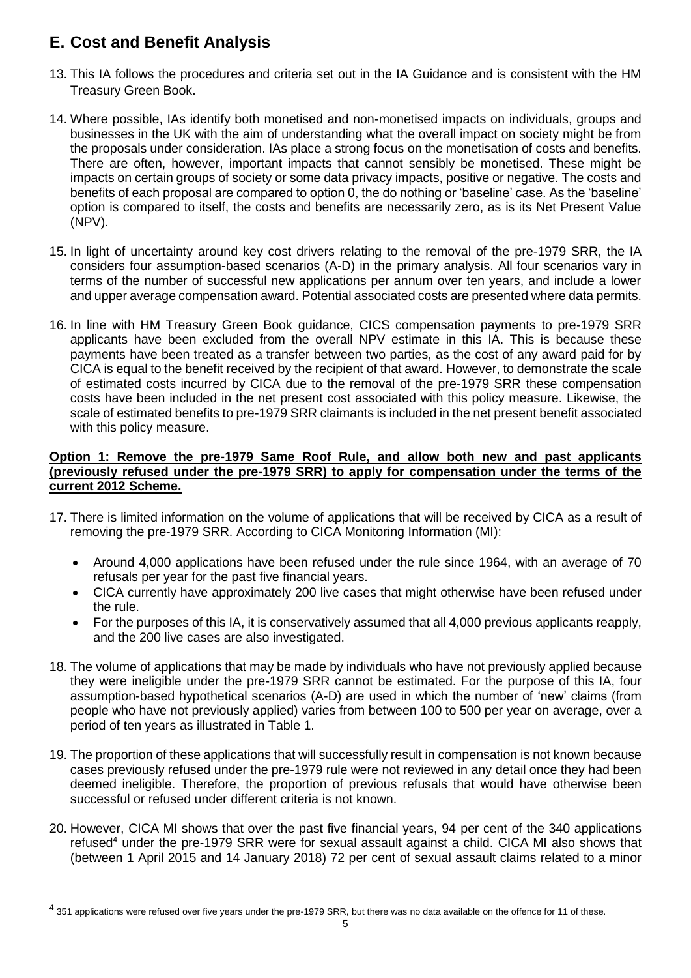## **E. Cost and Benefit Analysis**

- 13. This IA follows the procedures and criteria set out in the IA Guidance and is consistent with the HM Treasury Green Book.
- 14. Where possible, IAs identify both monetised and non-monetised impacts on individuals, groups and businesses in the UK with the aim of understanding what the overall impact on society might be from the proposals under consideration. IAs place a strong focus on the monetisation of costs and benefits. There are often, however, important impacts that cannot sensibly be monetised. These might be impacts on certain groups of society or some data privacy impacts, positive or negative. The costs and benefits of each proposal are compared to option 0, the do nothing or 'baseline' case. As the 'baseline' option is compared to itself, the costs and benefits are necessarily zero, as is its Net Present Value (NPV).
- 15. In light of uncertainty around key cost drivers relating to the removal of the pre-1979 SRR, the IA considers four assumption-based scenarios (A-D) in the primary analysis. All four scenarios vary in terms of the number of successful new applications per annum over ten years, and include a lower and upper average compensation award. Potential associated costs are presented where data permits.
- 16. In line with HM Treasury Green Book guidance, CICS compensation payments to pre-1979 SRR applicants have been excluded from the overall NPV estimate in this IA. This is because these payments have been treated as a transfer between two parties, as the cost of any award paid for by CICA is equal to the benefit received by the recipient of that award. However, to demonstrate the scale of estimated costs incurred by CICA due to the removal of the pre-1979 SRR these compensation costs have been included in the net present cost associated with this policy measure. Likewise, the scale of estimated benefits to pre-1979 SRR claimants is included in the net present benefit associated with this policy measure.

#### **Option 1: Remove the pre-1979 Same Roof Rule, and allow both new and past applicants (previously refused under the pre-1979 SRR) to apply for compensation under the terms of the current 2012 Scheme.**

- 17. There is limited information on the volume of applications that will be received by CICA as a result of removing the pre-1979 SRR. According to CICA Monitoring Information (MI):
	- Around 4,000 applications have been refused under the rule since 1964, with an average of 70 refusals per year for the past five financial years.
	- CICA currently have approximately 200 live cases that might otherwise have been refused under the rule.
	- For the purposes of this IA, it is conservatively assumed that all 4,000 previous applicants reapply, and the 200 live cases are also investigated.
- 18. The volume of applications that may be made by individuals who have not previously applied because they were ineligible under the pre-1979 SRR cannot be estimated. For the purpose of this IA, four assumption-based hypothetical scenarios (A-D) are used in which the number of 'new' claims (from people who have not previously applied) varies from between 100 to 500 per year on average, over a period of ten years as illustrated in Table 1.
- 19. The proportion of these applications that will successfully result in compensation is not known because cases previously refused under the pre-1979 rule were not reviewed in any detail once they had been deemed ineligible. Therefore, the proportion of previous refusals that would have otherwise been successful or refused under different criteria is not known.
- 20. However, CICA MI shows that over the past five financial years, 94 per cent of the 340 applications refused<sup>4</sup> under the pre-1979 SRR were for sexual assault against a child. CICA MI also shows that (between 1 April 2015 and 14 January 2018) 72 per cent of sexual assault claims related to a minor

l

 $^4$  351 applications were refused over five years under the pre-1979 SRR, but there was no data available on the offence for 11 of these.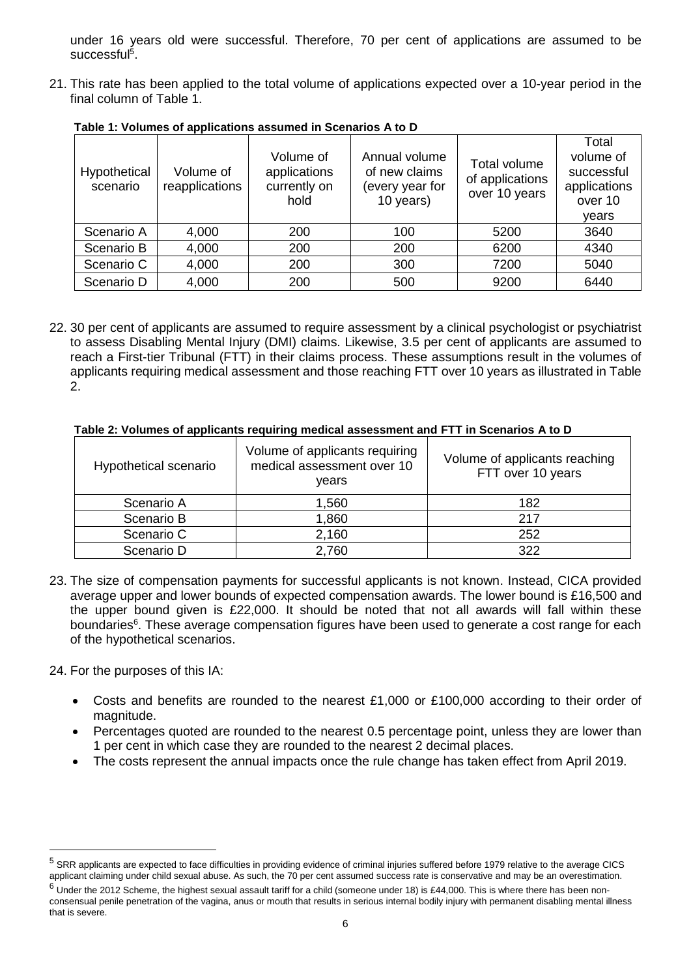under 16 years old were successful. Therefore, 70 per cent of applications are assumed to be successful<sup>5</sup>.

21. This rate has been applied to the total volume of applications expected over a 10-year period in the final column of Table 1.

| Hypothetical<br>scenario | Volume of<br>reapplications | Volume of<br>applications<br>currently on<br>hold | Annual volume<br>of new claims<br>(every year for<br>10 years) | Total volume<br>of applications<br>over 10 years | Total<br>volume of<br>successful<br>applications<br>over 10<br>vears |
|--------------------------|-----------------------------|---------------------------------------------------|----------------------------------------------------------------|--------------------------------------------------|----------------------------------------------------------------------|
| Scenario A               | 4,000                       | 200                                               | 100                                                            | 5200                                             | 3640                                                                 |
| Scenario B               | 4,000                       | 200                                               | 200                                                            | 6200                                             | 4340                                                                 |
| Scenario C               | 4,000                       | 200                                               | 300                                                            | 7200                                             | 5040                                                                 |
| Scenario D               | 4,000                       | 200                                               | 500                                                            | 9200                                             | 6440                                                                 |

**Table 1: Volumes of applications assumed in Scenarios A to D**

22. 30 per cent of applicants are assumed to require assessment by a clinical psychologist or psychiatrist to assess Disabling Mental Injury (DMI) claims. Likewise, 3.5 per cent of applicants are assumed to reach a First-tier Tribunal (FTT) in their claims process. These assumptions result in the volumes of applicants requiring medical assessment and those reaching FTT over 10 years as illustrated in Table 2.

| Hypothetical scenario | Volume of applicants requiring<br>medical assessment over 10<br>vears | Volume of applicants reaching<br>FTT over 10 years |
|-----------------------|-----------------------------------------------------------------------|----------------------------------------------------|
| Scenario A            | 1,560                                                                 | 182                                                |
| Scenario B            | 1,860                                                                 | 217                                                |
| Scenario C            | 2,160                                                                 | 252                                                |
| Scenario D            | 2,760                                                                 | 322                                                |

**Table 2: Volumes of applicants requiring medical assessment and FTT in Scenarios A to D**

23. The size of compensation payments for successful applicants is not known. Instead, CICA provided average upper and lower bounds of expected compensation awards. The lower bound is £16,500 and the upper bound given is £22,000. It should be noted that not all awards will fall within these boundaries<sup>6</sup>. These average compensation figures have been used to generate a cost range for each of the hypothetical scenarios.

24. For the purposes of this IA:

l

- Costs and benefits are rounded to the nearest £1,000 or £100,000 according to their order of magnitude.
- Percentages quoted are rounded to the nearest 0.5 percentage point, unless they are lower than 1 per cent in which case they are rounded to the nearest 2 decimal places.
- The costs represent the annual impacts once the rule change has taken effect from April 2019.

<sup>5</sup> SRR applicants are expected to face difficulties in providing evidence of criminal injuries suffered before 1979 relative to the average CICS applicant claiming under child sexual abuse. As such, the 70 per cent assumed success rate is conservative and may be an overestimation.  $6$  Under the 2012 Scheme, the highest sexual assault tariff for a child (someone under 18) is £44,000. This is where there has been nonconsensual penile penetration of the vagina, anus or mouth that results in serious internal bodily injury with permanent disabling mental illness that is severe.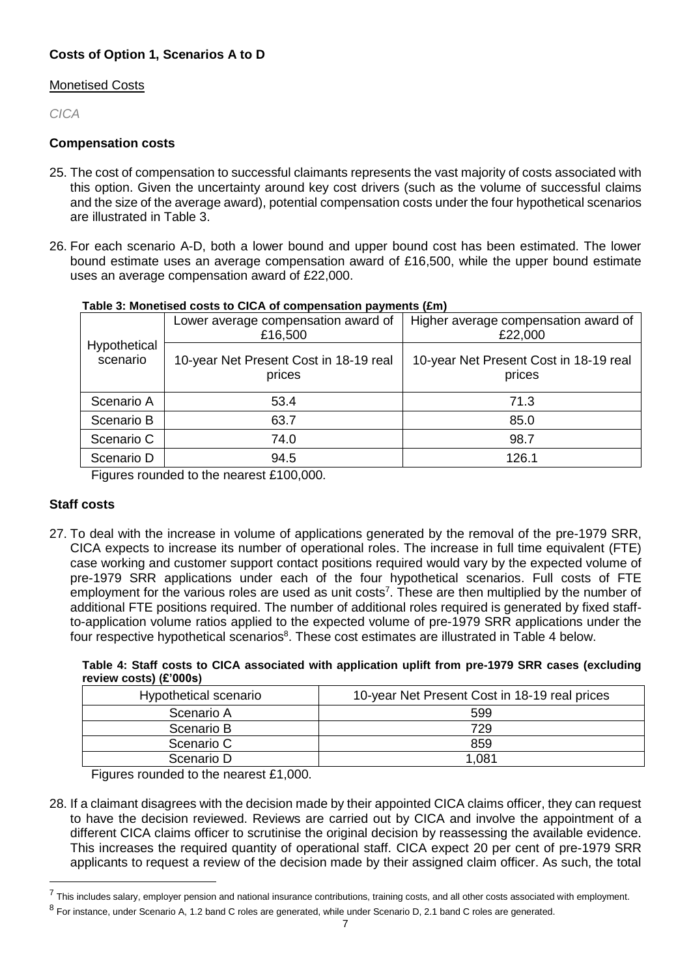### **Costs of Option 1, Scenarios A to D**

#### Monetised Costs

*CICA*

#### **Compensation costs**

- 25. The cost of compensation to successful claimants represents the vast majority of costs associated with this option. Given the uncertainty around key cost drivers (such as the volume of successful claims and the size of the average award), potential compensation costs under the four hypothetical scenarios are illustrated in Table 3.
- 26. For each scenario A-D, both a lower bound and upper bound cost has been estimated. The lower bound estimate uses an average compensation award of £16,500, while the upper bound estimate uses an average compensation award of £22,000.

|                          | Lower average compensation award of<br>£16,500   | Higher average compensation award of<br>£22,000  |
|--------------------------|--------------------------------------------------|--------------------------------------------------|
| Hypothetical<br>scenario | 10-year Net Present Cost in 18-19 real<br>prices | 10-year Net Present Cost in 18-19 real<br>prices |
| Scenario A               | 53.4                                             | 71.3                                             |
| Scenario B               | 63.7                                             | 85.0                                             |
| Scenario C               | 74.0                                             | 98.7                                             |
| Scenario D               | 94.5                                             | 126.1                                            |
|                          |                                                  |                                                  |

#### **Table 3: Monetised costs to CICA of compensation payments (£m)**

Figures rounded to the nearest £100,000.

#### **Staff costs**

 $\overline{a}$ 

27. To deal with the increase in volume of applications generated by the removal of the pre-1979 SRR, CICA expects to increase its number of operational roles. The increase in full time equivalent (FTE) case working and customer support contact positions required would vary by the expected volume of pre-1979 SRR applications under each of the four hypothetical scenarios. Full costs of FTE employment for the various roles are used as unit costs<sup>7</sup>. These are then multiplied by the number of additional FTE positions required. The number of additional roles required is generated by fixed staffto-application volume ratios applied to the expected volume of pre-1979 SRR applications under the four respective hypothetical scenarios<sup>8</sup>. These cost estimates are illustrated in Table 4 below.

| Table 4: Staff costs to CICA associated with application uplift from pre-1979 SRR cases (excluding |  |  |  |  |
|----------------------------------------------------------------------------------------------------|--|--|--|--|
| review costs) (£'000s)                                                                             |  |  |  |  |

| Hypothetical scenario | 10-year Net Present Cost in 18-19 real prices |
|-----------------------|-----------------------------------------------|
| Scenario A            | 599                                           |
| Scenario B            | 729                                           |
| Scenario C            | 859                                           |
| Scenario D            | 1.081                                         |

Figures rounded to the nearest £1,000.

28. If a claimant disagrees with the decision made by their appointed CICA claims officer, they can request to have the decision reviewed. Reviews are carried out by CICA and involve the appointment of a different CICA claims officer to scrutinise the original decision by reassessing the available evidence. This increases the required quantity of operational staff. CICA expect 20 per cent of pre-1979 SRR applicants to request a review of the decision made by their assigned claim officer. As such, the total

<sup>&</sup>lt;sup>7</sup> This includes salary, employer pension and national insurance contributions, training costs, and all other costs associated with employment.

<sup>&</sup>lt;sup>8</sup> For instance, under Scenario A, 1.2 band C roles are generated, while under Scenario D, 2.1 band C roles are generated.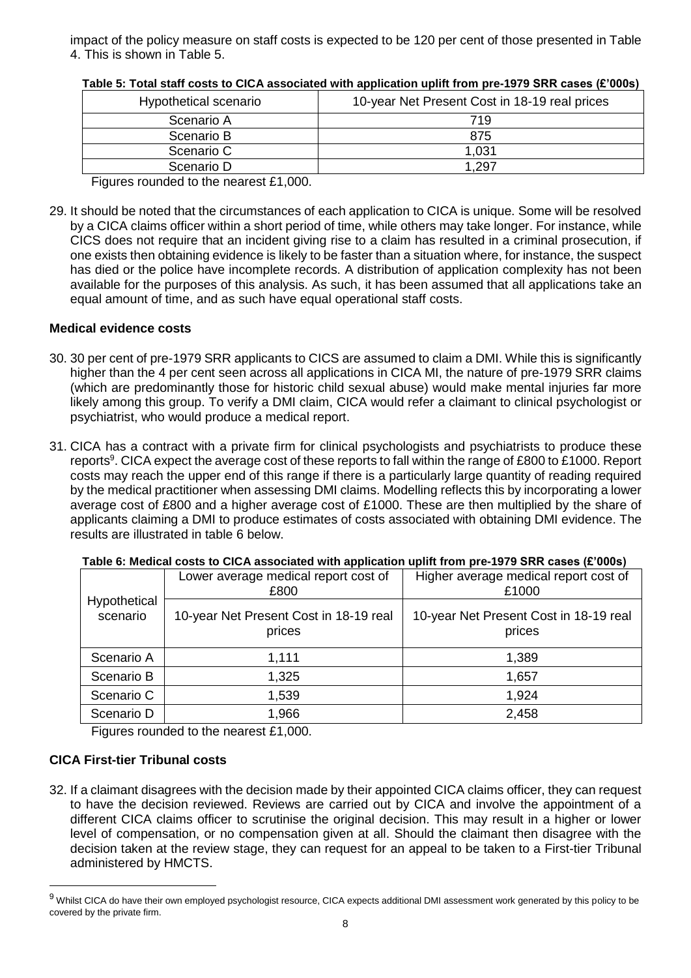impact of the policy measure on staff costs is expected to be 120 per cent of those presented in Table 4. This is shown in Table 5.

| Hypothetical scenario | 10-year Net Present Cost in 18-19 real prices |
|-----------------------|-----------------------------------------------|
| Scenario A            | 719                                           |
| Scenario B            | 875                                           |
| Scenario C            | 1,031                                         |
| Scenario D            | 1.297                                         |

**Table 5: Total staff costs to CICA associated with application uplift from pre-1979 SRR cases (£'000s)**

Figures rounded to the nearest £1,000.

29. It should be noted that the circumstances of each application to CICA is unique. Some will be resolved by a CICA claims officer within a short period of time, while others may take longer. For instance, while CICS does not require that an incident giving rise to a claim has resulted in a criminal prosecution, if one exists then obtaining evidence is likely to be faster than a situation where, for instance, the suspect has died or the police have incomplete records. A distribution of application complexity has not been available for the purposes of this analysis. As such, it has been assumed that all applications take an equal amount of time, and as such have equal operational staff costs.

#### **Medical evidence costs**

- 30. 30 per cent of pre-1979 SRR applicants to CICS are assumed to claim a DMI. While this is significantly higher than the 4 per cent seen across all applications in CICA MI, the nature of pre-1979 SRR claims (which are predominantly those for historic child sexual abuse) would make mental injuries far more likely among this group. To verify a DMI claim, CICA would refer a claimant to clinical psychologist or psychiatrist, who would produce a medical report.
- 31. CICA has a contract with a private firm for clinical psychologists and psychiatrists to produce these reports<sup>9</sup>. CICA expect the average cost of these reports to fall within the range of £800 to £1000. Report costs may reach the upper end of this range if there is a particularly large quantity of reading required by the medical practitioner when assessing DMI claims. Modelling reflects this by incorporating a lower average cost of £800 and a higher average cost of £1000. These are then multiplied by the share of applicants claiming a DMI to produce estimates of costs associated with obtaining DMI evidence. The results are illustrated in table 6 below.

|                          | <b>TADIO 0. MIGHTER TO DISTURBATION MINT APPROXIST APRIL HOME PLV TVTV ORDER (&amp; VVVJ)</b> |                                                  |  |  |  |  |
|--------------------------|-----------------------------------------------------------------------------------------------|--------------------------------------------------|--|--|--|--|
|                          | Lower average medical report cost of<br>£800                                                  | Higher average medical report cost of<br>£1000   |  |  |  |  |
| Hypothetical<br>scenario | 10-year Net Present Cost in 18-19 real<br>prices                                              | 10-year Net Present Cost in 18-19 real<br>prices |  |  |  |  |
| Scenario A               | 1,111                                                                                         | 1,389                                            |  |  |  |  |
| Scenario B               | 1,325                                                                                         | 1,657                                            |  |  |  |  |
| Scenario C               | 1,539                                                                                         | 1,924                                            |  |  |  |  |
| Scenario D               | 1,966                                                                                         | 2,458                                            |  |  |  |  |

**Table 6: Medical costs to CICA associated with application uplift from pre-1979 SRR cases (£'000s)**

Figures rounded to the nearest £1,000.

#### **CICA First-tier Tribunal costs**

l

32. If a claimant disagrees with the decision made by their appointed CICA claims officer, they can request to have the decision reviewed. Reviews are carried out by CICA and involve the appointment of a different CICA claims officer to scrutinise the original decision. This may result in a higher or lower level of compensation, or no compensation given at all. Should the claimant then disagree with the decision taken at the review stage, they can request for an appeal to be taken to a First-tier Tribunal administered by HMCTS.

<sup>9</sup> Whilst CICA do have their own employed psychologist resource, CICA expects additional DMI assessment work generated by this policy to be covered by the private firm.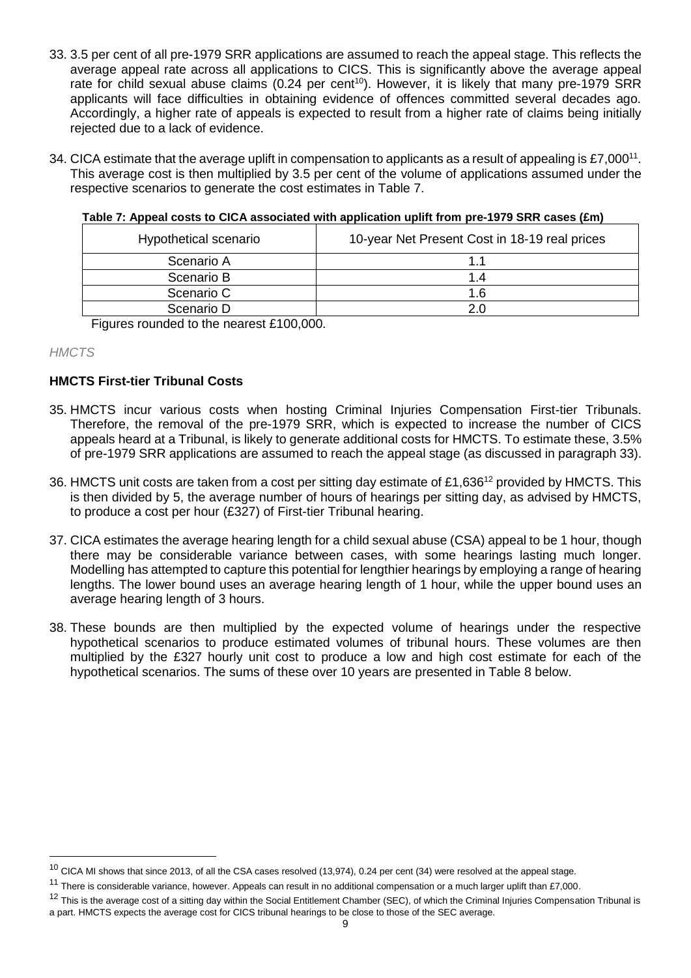- 33. 3.5 per cent of all pre-1979 SRR applications are assumed to reach the appeal stage. This reflects the average appeal rate across all applications to CICS. This is significantly above the average appeal rate for child sexual abuse claims (0.24 per cent<sup>10</sup>). However, it is likely that many pre-1979 SRR applicants will face difficulties in obtaining evidence of offences committed several decades ago. Accordingly, a higher rate of appeals is expected to result from a higher rate of claims being initially rejected due to a lack of evidence.
- 34. CICA estimate that the average uplift in compensation to applicants as a result of appealing is £7,000<sup>11</sup>. This average cost is then multiplied by 3.5 per cent of the volume of applications assumed under the respective scenarios to generate the cost estimates in Table 7.

| Hypothetical scenario | 10-year Net Present Cost in 18-19 real prices |
|-----------------------|-----------------------------------------------|
| Scenario A            |                                               |
| Scenario B            | 1.4                                           |
| Scenario C            | 1.6                                           |
| Scenario D            | 2.0                                           |

**Table 7: Appeal costs to CICA associated with application uplift from pre-1979 SRR cases (£m)**

Figures rounded to the nearest £100,000.

#### *HMCTS*

l

### **HMCTS First-tier Tribunal Costs**

- 35. HMCTS incur various costs when hosting Criminal Injuries Compensation First-tier Tribunals. Therefore, the removal of the pre-1979 SRR, which is expected to increase the number of CICS appeals heard at a Tribunal, is likely to generate additional costs for HMCTS. To estimate these, 3.5% of pre-1979 SRR applications are assumed to reach the appeal stage (as discussed in paragraph 33).
- 36. HMCTS unit costs are taken from a cost per sitting day estimate of £1,636<sup>12</sup> provided by HMCTS. This is then divided by 5, the average number of hours of hearings per sitting day, as advised by HMCTS, to produce a cost per hour (£327) of First-tier Tribunal hearing.
- 37. CICA estimates the average hearing length for a child sexual abuse (CSA) appeal to be 1 hour, though there may be considerable variance between cases, with some hearings lasting much longer. Modelling has attempted to capture this potential for lengthier hearings by employing a range of hearing lengths. The lower bound uses an average hearing length of 1 hour, while the upper bound uses an average hearing length of 3 hours.
- 38. These bounds are then multiplied by the expected volume of hearings under the respective hypothetical scenarios to produce estimated volumes of tribunal hours. These volumes are then multiplied by the £327 hourly unit cost to produce a low and high cost estimate for each of the hypothetical scenarios. The sums of these over 10 years are presented in Table 8 below.

 $10$  CICA MI shows that since 2013, of all the CSA cases resolved (13,974), 0.24 per cent (34) were resolved at the appeal stage.

<sup>&</sup>lt;sup>11</sup> There is considerable variance, however. Appeals can result in no additional compensation or a much larger uplift than £7,000.

<sup>&</sup>lt;sup>12</sup> This is the average cost of a sitting day within the Social Entitlement Chamber (SEC), of which the Criminal Injuries Compensation Tribunal is a part. HMCTS expects the average cost for CICS tribunal hearings to be close to those of the SEC average.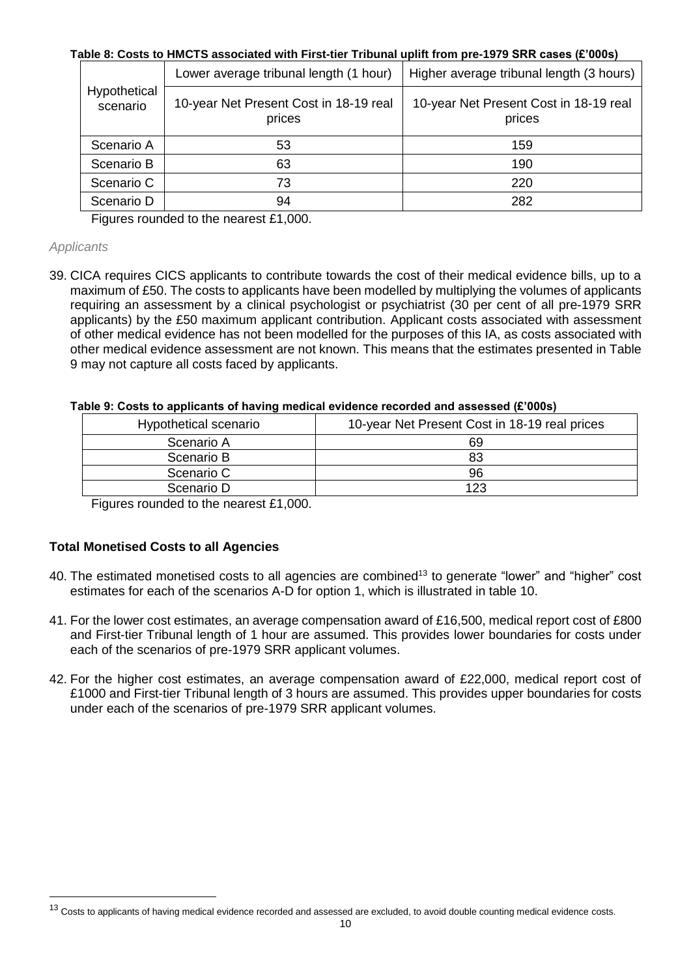### **Table 8: Costs to HMCTS associated with First-tier Tribunal uplift from pre-1979 SRR cases (£'000s)**

|                          | Lower average tribunal length (1 hour)           | Higher average tribunal length (3 hours)         |  |  |  |
|--------------------------|--------------------------------------------------|--------------------------------------------------|--|--|--|
| Hypothetical<br>scenario | 10-year Net Present Cost in 18-19 real<br>prices | 10-year Net Present Cost in 18-19 real<br>prices |  |  |  |
| Scenario A               | 53                                               | 159                                              |  |  |  |
| Scenario B               | 63                                               | 190                                              |  |  |  |
| Scenario C               | 73                                               | 220                                              |  |  |  |
| Scenario D               | 94                                               | 282                                              |  |  |  |

Figures rounded to the nearest £1,000.

#### *Applicants*

l

39. CICA requires CICS applicants to contribute towards the cost of their medical evidence bills, up to a maximum of £50. The costs to applicants have been modelled by multiplying the volumes of applicants requiring an assessment by a clinical psychologist or psychiatrist (30 per cent of all pre-1979 SRR applicants) by the £50 maximum applicant contribution. Applicant costs associated with assessment of other medical evidence has not been modelled for the purposes of this IA, as costs associated with other medical evidence assessment are not known. This means that the estimates presented in Table 9 may not capture all costs faced by applicants.

#### **Table 9: Costs to applicants of having medical evidence recorded and assessed (£'000s)**

| Hypothetical scenario | 10-year Net Present Cost in 18-19 real prices |
|-----------------------|-----------------------------------------------|
| Scenario A            | 69                                            |
| Scenario B            | 83                                            |
| Scenario C            | 96                                            |
| Scenario D            | 123                                           |

Figures rounded to the nearest £1,000.

### **Total Monetised Costs to all Agencies**

- 40. The estimated monetised costs to all agencies are combined<sup>13</sup> to generate "lower" and "higher" cost estimates for each of the scenarios A-D for option 1, which is illustrated in table 10.
- 41. For the lower cost estimates, an average compensation award of £16,500, medical report cost of £800 and First-tier Tribunal length of 1 hour are assumed. This provides lower boundaries for costs under each of the scenarios of pre-1979 SRR applicant volumes.
- 42. For the higher cost estimates, an average compensation award of £22,000, medical report cost of £1000 and First-tier Tribunal length of 3 hours are assumed. This provides upper boundaries for costs under each of the scenarios of pre-1979 SRR applicant volumes.

<sup>&</sup>lt;sup>13</sup> Costs to applicants of having medical evidence recorded and assessed are excluded, to avoid double counting medical evidence costs.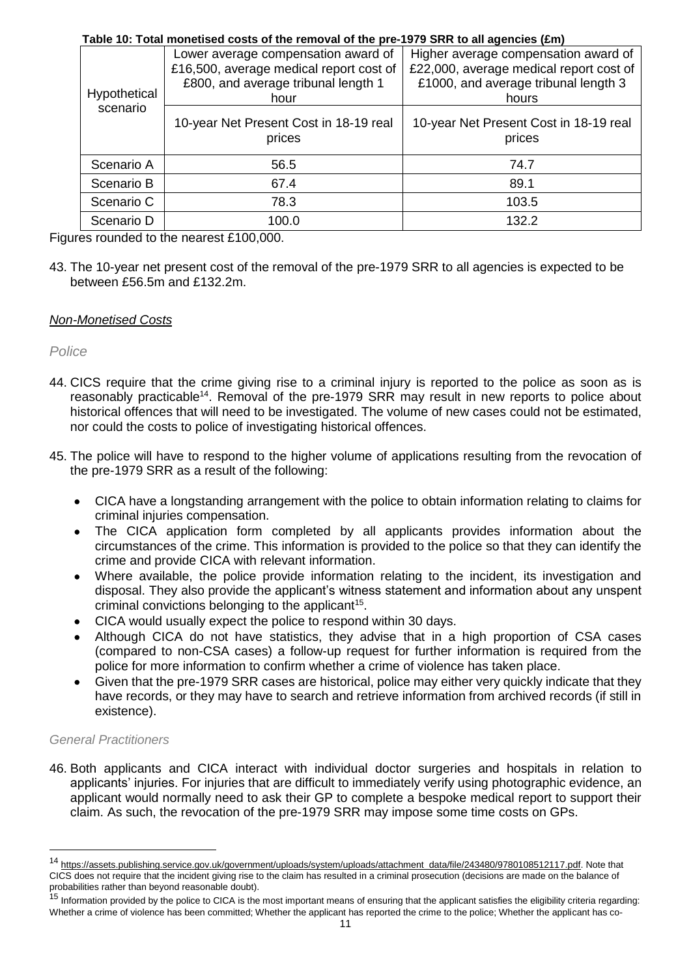| Table 10: Total monetised costs of the removal of the pre-1979 SRR to all agencies (£m) |                                         |                                         |  |  |  |
|-----------------------------------------------------------------------------------------|-----------------------------------------|-----------------------------------------|--|--|--|
|                                                                                         | Lower average compensation award of     | Higher average compensation award of    |  |  |  |
|                                                                                         | £16,500, average medical report cost of | £22,000, average medical report cost of |  |  |  |
|                                                                                         | £800, and average tribunal length 1     | £1000, and average tribunal length 3    |  |  |  |
| Hypothetical                                                                            | hour                                    | hours                                   |  |  |  |
| scenario                                                                                |                                         |                                         |  |  |  |
|                                                                                         | 10-year Net Present Cost in 18-19 real  | 10-year Net Present Cost in 18-19 real  |  |  |  |
|                                                                                         | prices                                  | prices                                  |  |  |  |
| Scenario A                                                                              | 56.5                                    | 74.7                                    |  |  |  |
|                                                                                         |                                         |                                         |  |  |  |
| Scenario B                                                                              | 67.4                                    | 89.1                                    |  |  |  |
| Scenario C                                                                              | 78.3                                    | 103.5                                   |  |  |  |
| Scenario D                                                                              | 100.0                                   | 132.2                                   |  |  |  |

Figures rounded to the nearest £100,000.

43. The 10-year net present cost of the removal of the pre-1979 SRR to all agencies is expected to be between £56.5m and £132.2m.

### *Non-Monetised Costs*

*Police*

- 44. CICS require that the crime giving rise to a criminal injury is reported to the police as soon as is reasonably practicable<sup>14</sup>. Removal of the pre-1979 SRR may result in new reports to police about historical offences that will need to be investigated. The volume of new cases could not be estimated, nor could the costs to police of investigating historical offences.
- 45. The police will have to respond to the higher volume of applications resulting from the revocation of the pre-1979 SRR as a result of the following:
	- CICA have a longstanding arrangement with the police to obtain information relating to claims for criminal injuries compensation.
	- The CICA application form completed by all applicants provides information about the circumstances of the crime. This information is provided to the police so that they can identify the crime and provide CICA with relevant information.
	- Where available, the police provide information relating to the incident, its investigation and disposal. They also provide the applicant's witness statement and information about any unspent criminal convictions belonging to the applicant<sup>15</sup>.
	- CICA would usually expect the police to respond within 30 days.
	- Although CICA do not have statistics, they advise that in a high proportion of CSA cases (compared to non-CSA cases) a follow-up request for further information is required from the police for more information to confirm whether a crime of violence has taken place.
	- Given that the pre-1979 SRR cases are historical, police may either very quickly indicate that they have records, or they may have to search and retrieve information from archived records (if still in existence).

#### *General Practitioners*

l

46. Both applicants and CICA interact with individual doctor surgeries and hospitals in relation to applicants' injuries. For injuries that are difficult to immediately verify using photographic evidence, an applicant would normally need to ask their GP to complete a bespoke medical report to support their claim. As such, the revocation of the pre-1979 SRR may impose some time costs on GPs.

<sup>&</sup>lt;sup>14</sup> [https://assets.publishing.service.gov.uk/government/uploads/system/uploads/attachment\\_data/file/243480/9780108512117.pdf.](https://assets.publishing.service.gov.uk/government/uploads/system/uploads/attachment_data/file/243480/9780108512117.pdf) Note that CICS does not require that the incident giving rise to the claim has resulted in a criminal prosecution (decisions are made on the balance of probabilities rather than beyond reasonable doubt).

<sup>&</sup>lt;sup>15</sup> Information provided by the police to CICA is the most important means of ensuring that the applicant satisfies the eligibility criteria regarding: Whether a crime of violence has been committed; Whether the applicant has reported the crime to the police; Whether the applicant has co-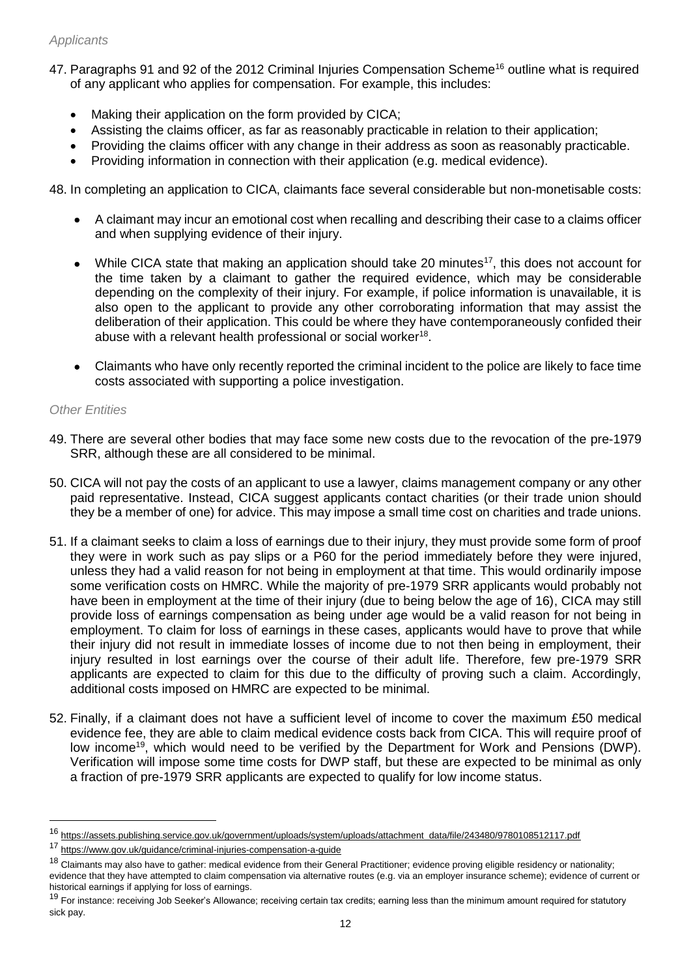### *Applicants*

- 47. Paragraphs 91 and 92 of the 2012 Criminal Injuries Compensation Scheme<sup>16</sup> outline what is required of any applicant who applies for compensation. For example, this includes:
	- Making their application on the form provided by CICA;
	- Assisting the claims officer, as far as reasonably practicable in relation to their application;
	- Providing the claims officer with any change in their address as soon as reasonably practicable.
	- Providing information in connection with their application (e.g. medical evidence).

48. In completing an application to CICA, claimants face several considerable but non-monetisable costs:

- A claimant may incur an emotional cost when recalling and describing their case to a claims officer and when supplying evidence of their injury.
- While CICA state that making an application should take 20 minutes<sup>17</sup>, this does not account for the time taken by a claimant to gather the required evidence, which may be considerable depending on the complexity of their injury. For example, if police information is unavailable, it is also open to the applicant to provide any other corroborating information that may assist the deliberation of their application. This could be where they have contemporaneously confided their abuse with a relevant health professional or social worker $^{18}$ .
- Claimants who have only recently reported the criminal incident to the police are likely to face time costs associated with supporting a police investigation.

#### *Other Entities*

 $\overline{a}$ 

- 49. There are several other bodies that may face some new costs due to the revocation of the pre-1979 SRR, although these are all considered to be minimal.
- 50. CICA will not pay the costs of an applicant to use a lawyer, claims management company or any other paid representative. Instead, CICA suggest applicants contact charities (or their trade union should they be a member of one) for advice. This may impose a small time cost on charities and trade unions.
- 51. If a claimant seeks to claim a loss of earnings due to their injury, they must provide some form of proof they were in work such as pay slips or a P60 for the period immediately before they were injured, unless they had a valid reason for not being in employment at that time. This would ordinarily impose some verification costs on HMRC. While the majority of pre-1979 SRR applicants would probably not have been in employment at the time of their injury (due to being below the age of 16), CICA may still provide loss of earnings compensation as being under age would be a valid reason for not being in employment. To claim for loss of earnings in these cases, applicants would have to prove that while their injury did not result in immediate losses of income due to not then being in employment, their injury resulted in lost earnings over the course of their adult life. Therefore, few pre-1979 SRR applicants are expected to claim for this due to the difficulty of proving such a claim. Accordingly, additional costs imposed on HMRC are expected to be minimal.
- 52. Finally, if a claimant does not have a sufficient level of income to cover the maximum £50 medical evidence fee, they are able to claim medical evidence costs back from CICA. This will require proof of low income<sup>19</sup>, which would need to be verified by the Department for Work and Pensions (DWP). Verification will impose some time costs for DWP staff, but these are expected to be minimal as only a fraction of pre-1979 SRR applicants are expected to qualify for low income status.

<sup>16</sup> [https://assets.publishing.service.gov.uk/government/uploads/system/uploads/attachment\\_data/file/243480/9780108512117.pdf](https://assets.publishing.service.gov.uk/government/uploads/system/uploads/attachment_data/file/243480/9780108512117.pdf)

<sup>17</sup> <https://www.gov.uk/guidance/criminal-injuries-compensation-a-guide>

 $18$  Claimants may also have to gather: medical evidence from their General Practitioner; evidence proving eligible residency or nationality; evidence that they have attempted to claim compensation via alternative routes (e.g. via an employer insurance scheme); evidence of current or historical earnings if applying for loss of earnings.

<sup>&</sup>lt;sup>19</sup> For instance: receiving Job Seeker's Allowance; receiving certain tax credits; earning less than the minimum amount required for statutory sick pay.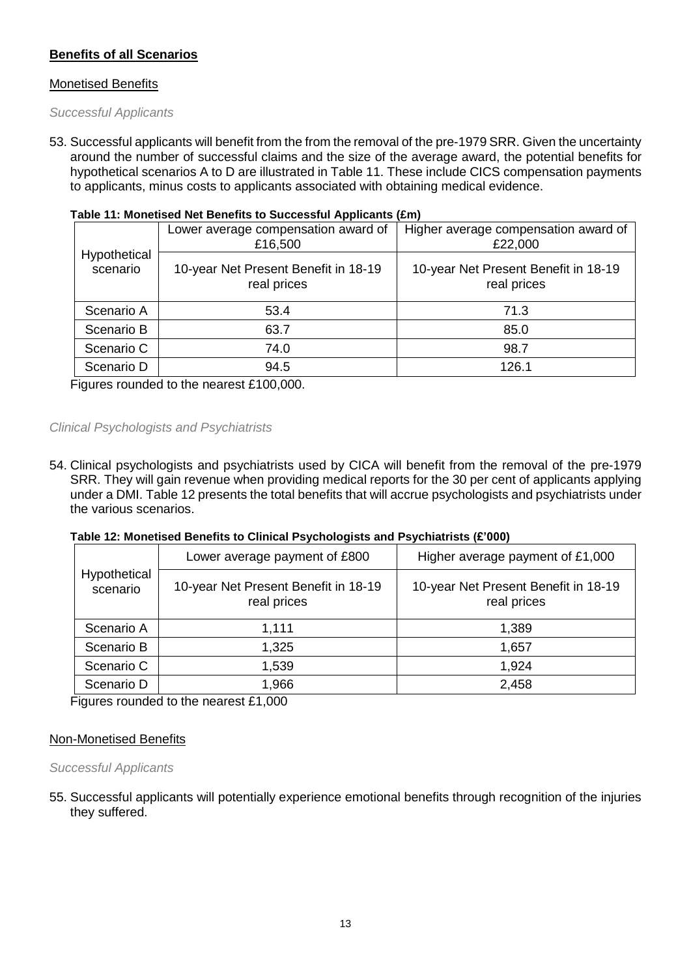### **Benefits of all Scenarios**

#### Monetised Benefits

#### *Successful Applicants*

53. Successful applicants will benefit from the from the removal of the pre-1979 SRR. Given the uncertainty around the number of successful claims and the size of the average award, the potential benefits for hypothetical scenarios A to D are illustrated in Table 11. These include CICS compensation payments to applicants, minus costs to applicants associated with obtaining medical evidence.

| Table 11: Monetised Net Benefits to Successful Applicants (£m) |  |  |  |
|----------------------------------------------------------------|--|--|--|
|                                                                |  |  |  |

|                          | Lower average compensation award of<br>£16,500      | Higher average compensation award of<br>£22,000     |  |  |  |
|--------------------------|-----------------------------------------------------|-----------------------------------------------------|--|--|--|
| Hypothetical<br>scenario | 10-year Net Present Benefit in 18-19<br>real prices | 10-year Net Present Benefit in 18-19<br>real prices |  |  |  |
| Scenario A               | 53.4                                                | 71.3                                                |  |  |  |
| Scenario B               | 63.7                                                | 85.0                                                |  |  |  |
| Scenario C               | 74.0                                                | 98.7                                                |  |  |  |
| Scenario D               | 94.5                                                | 126.1                                               |  |  |  |

Figures rounded to the nearest £100,000.

#### *Clinical Psychologists and Psychiatrists*

54. Clinical psychologists and psychiatrists used by CICA will benefit from the removal of the pre-1979 SRR. They will gain revenue when providing medical reports for the 30 per cent of applicants applying under a DMI. Table 12 presents the total benefits that will accrue psychologists and psychiatrists under the various scenarios.

#### **Table 12: Monetised Benefits to Clinical Psychologists and Psychiatrists (£'000)**

| Hypothetical<br>scenario | Lower average payment of £800                       | Higher average payment of £1,000                    |  |  |
|--------------------------|-----------------------------------------------------|-----------------------------------------------------|--|--|
|                          | 10-year Net Present Benefit in 18-19<br>real prices | 10-year Net Present Benefit in 18-19<br>real prices |  |  |
| Scenario A               | 1,111                                               | 1,389                                               |  |  |
| Scenario B               | 1,325                                               | 1,657                                               |  |  |
| Scenario C               | 1,539                                               | 1,924                                               |  |  |
| Scenario D               | 1,966                                               | 2,458                                               |  |  |

Figures rounded to the nearest £1,000

#### Non-Monetised Benefits

#### *Successful Applicants*

55. Successful applicants will potentially experience emotional benefits through recognition of the injuries they suffered.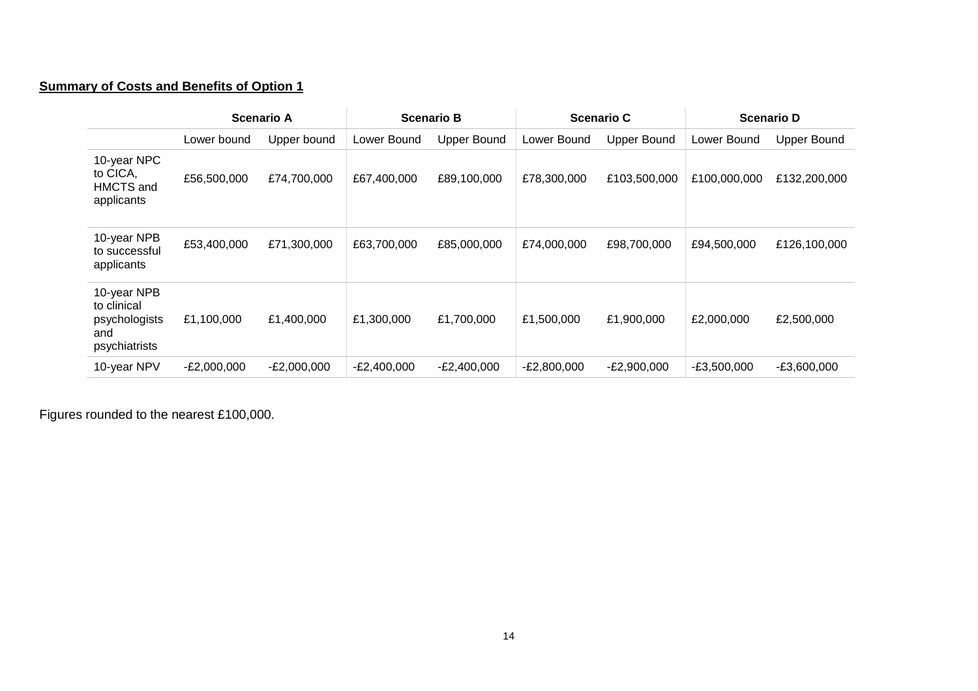## **Summary of Costs and Benefits of Option 1**

|                                                                     | <b>Scenario A</b> |               | <b>Scenario B</b> |                    | <b>Scenario C</b> |                    | <b>Scenario D</b> |                    |
|---------------------------------------------------------------------|-------------------|---------------|-------------------|--------------------|-------------------|--------------------|-------------------|--------------------|
|                                                                     | Lower bound       | Upper bound   | Lower Bound       | <b>Upper Bound</b> | Lower Bound       | <b>Upper Bound</b> | Lower Bound       | <b>Upper Bound</b> |
| 10-year NPC<br>to CICA,<br>HMCTS and<br>applicants                  | £56,500,000       | £74,700,000   | £67,400,000       | £89,100,000        | £78,300,000       | £103,500,000       | £100,000,000      | £132,200,000       |
| 10-year NPB<br>to successful<br>applicants                          | £53,400,000       | £71,300,000   | £63,700,000       | £85,000,000        | £74,000,000       | £98,700,000        | £94,500,000       | £126,100,000       |
| 10-year NPB<br>to clinical<br>psychologists<br>and<br>psychiatrists | £1,100,000        | £1,400,000    | £1,300,000        | £1,700,000         | £1,500,000        | £1,900,000         | £2,000,000        | £2,500,000         |
| 10-year NPV                                                         | $-E2,000,000$     | $-E2,000,000$ | $-E2,400,000$     | $-E2,400,000$      | $-E2,800,000$     | $-E2,900,000$      | $-E3,500,000$     | $-E3,600,000$      |

Figures rounded to the nearest £100,000.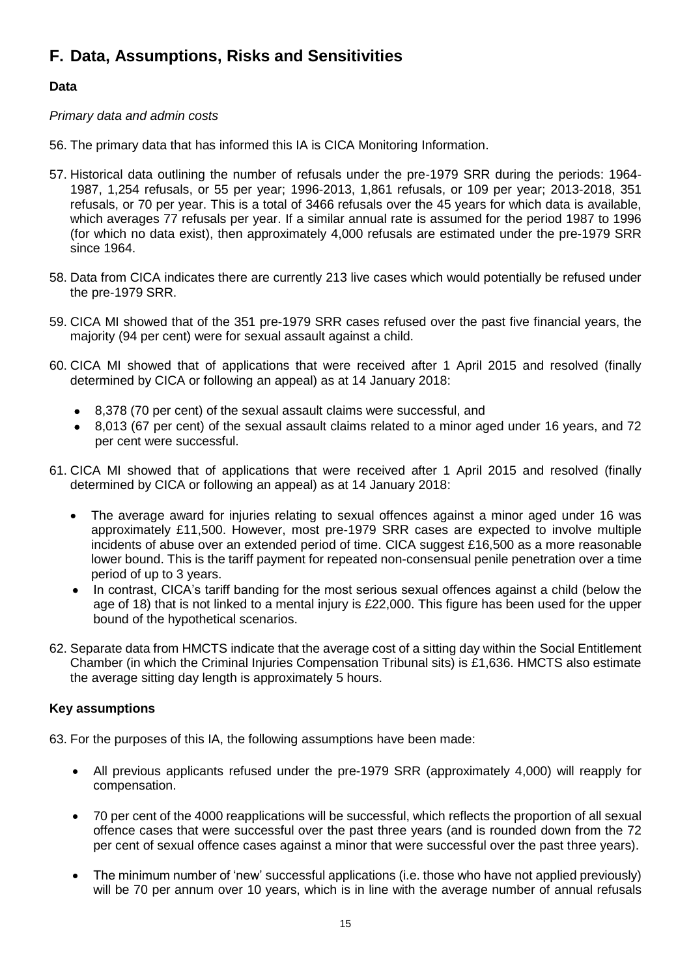## **F. Data, Assumptions, Risks and Sensitivities**

### **Data**

#### *Primary data and admin costs*

- 56. The primary data that has informed this IA is CICA Monitoring Information.
- 57. Historical data outlining the number of refusals under the pre-1979 SRR during the periods: 1964- 1987, 1,254 refusals, or 55 per year; 1996-2013, 1,861 refusals, or 109 per year; 2013-2018, 351 refusals, or 70 per year. This is a total of 3466 refusals over the 45 years for which data is available, which averages 77 refusals per year. If a similar annual rate is assumed for the period 1987 to 1996 (for which no data exist), then approximately 4,000 refusals are estimated under the pre-1979 SRR since 1964.
- 58. Data from CICA indicates there are currently 213 live cases which would potentially be refused under the pre-1979 SRR.
- 59. CICA MI showed that of the 351 pre-1979 SRR cases refused over the past five financial years, the majority (94 per cent) were for sexual assault against a child.
- 60. CICA MI showed that of applications that were received after 1 April 2015 and resolved (finally determined by CICA or following an appeal) as at 14 January 2018:
	- 8,378 (70 per cent) of the sexual assault claims were successful, and
	- 8,013 (67 per cent) of the sexual assault claims related to a minor aged under 16 years, and 72 per cent were successful.
- 61. CICA MI showed that of applications that were received after 1 April 2015 and resolved (finally determined by CICA or following an appeal) as at 14 January 2018:
	- The average award for injuries relating to sexual offences against a minor aged under 16 was approximately £11,500. However, most pre-1979 SRR cases are expected to involve multiple incidents of abuse over an extended period of time. CICA suggest £16,500 as a more reasonable lower bound. This is the tariff payment for repeated non-consensual penile penetration over a time period of up to 3 years.
	- In contrast, CICA's tariff banding for the most serious sexual offences against a child (below the age of 18) that is not linked to a mental injury is £22,000. This figure has been used for the upper bound of the hypothetical scenarios.
- 62. Separate data from HMCTS indicate that the average cost of a sitting day within the Social Entitlement Chamber (in which the Criminal Injuries Compensation Tribunal sits) is £1,636. HMCTS also estimate the average sitting day length is approximately 5 hours.

#### **Key assumptions**

- 63. For the purposes of this IA, the following assumptions have been made:
	- All previous applicants refused under the pre-1979 SRR (approximately 4,000) will reapply for compensation.
	- 70 per cent of the 4000 reapplications will be successful, which reflects the proportion of all sexual offence cases that were successful over the past three years (and is rounded down from the 72 per cent of sexual offence cases against a minor that were successful over the past three years).
	- The minimum number of 'new' successful applications (i.e. those who have not applied previously) will be 70 per annum over 10 years, which is in line with the average number of annual refusals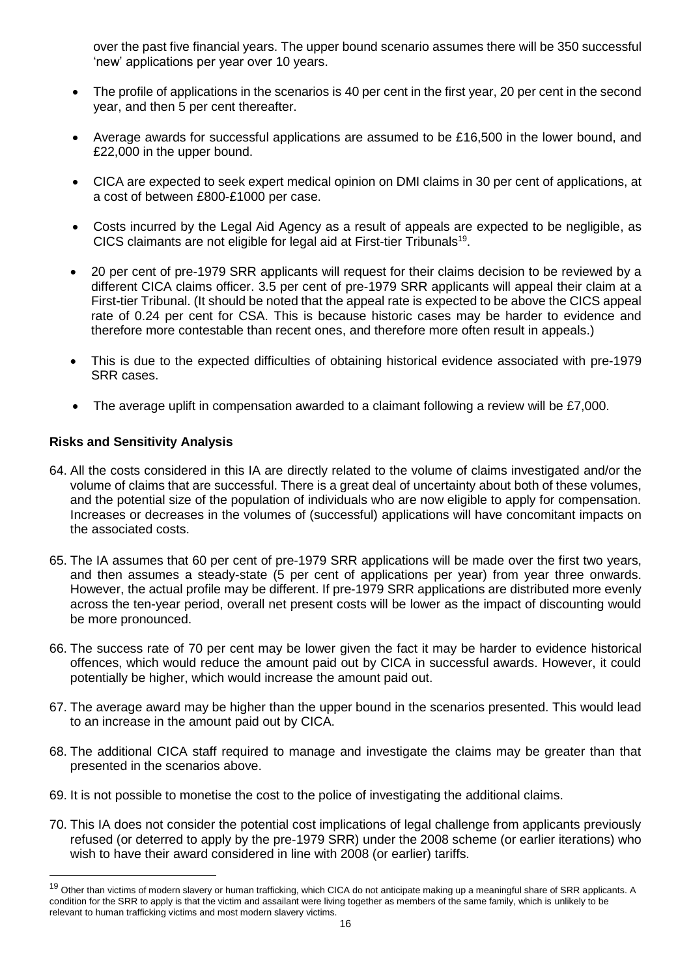over the past five financial years. The upper bound scenario assumes there will be 350 successful 'new' applications per year over 10 years.

- The profile of applications in the scenarios is 40 per cent in the first year, 20 per cent in the second year, and then 5 per cent thereafter.
- Average awards for successful applications are assumed to be £16,500 in the lower bound, and £22,000 in the upper bound.
- CICA are expected to seek expert medical opinion on DMI claims in 30 per cent of applications, at a cost of between £800-£1000 per case.
- Costs incurred by the Legal Aid Agency as a result of appeals are expected to be negligible, as CICS claimants are not eligible for legal aid at First-tier Tribunals<sup>19</sup>.
- 20 per cent of pre-1979 SRR applicants will request for their claims decision to be reviewed by a different CICA claims officer. 3.5 per cent of pre-1979 SRR applicants will appeal their claim at a First-tier Tribunal. (It should be noted that the appeal rate is expected to be above the CICS appeal rate of 0.24 per cent for CSA. This is because historic cases may be harder to evidence and therefore more contestable than recent ones, and therefore more often result in appeals.)
- This is due to the expected difficulties of obtaining historical evidence associated with pre-1979 SRR cases.
- The average uplift in compensation awarded to a claimant following a review will be £7,000.

### **Risks and Sensitivity Analysis**

l

- 64. All the costs considered in this IA are directly related to the volume of claims investigated and/or the volume of claims that are successful. There is a great deal of uncertainty about both of these volumes, and the potential size of the population of individuals who are now eligible to apply for compensation. Increases or decreases in the volumes of (successful) applications will have concomitant impacts on the associated costs.
- 65. The IA assumes that 60 per cent of pre-1979 SRR applications will be made over the first two years, and then assumes a steady-state (5 per cent of applications per year) from year three onwards. However, the actual profile may be different. If pre-1979 SRR applications are distributed more evenly across the ten-year period, overall net present costs will be lower as the impact of discounting would be more pronounced.
- 66. The success rate of 70 per cent may be lower given the fact it may be harder to evidence historical offences, which would reduce the amount paid out by CICA in successful awards. However, it could potentially be higher, which would increase the amount paid out.
- 67. The average award may be higher than the upper bound in the scenarios presented. This would lead to an increase in the amount paid out by CICA.
- 68. The additional CICA staff required to manage and investigate the claims may be greater than that presented in the scenarios above.
- 69. It is not possible to monetise the cost to the police of investigating the additional claims.
- 70. This IA does not consider the potential cost implications of legal challenge from applicants previously refused (or deterred to apply by the pre-1979 SRR) under the 2008 scheme (or earlier iterations) who wish to have their award considered in line with 2008 (or earlier) tariffs.

<sup>&</sup>lt;sup>19</sup> Other than victims of modern slavery or human trafficking, which CICA do not anticipate making up a meaningful share of SRR applicants. A condition for the SRR to apply is that the victim and assailant were living together as members of the same family, which is unlikely to be relevant to human trafficking victims and most modern slavery victims.